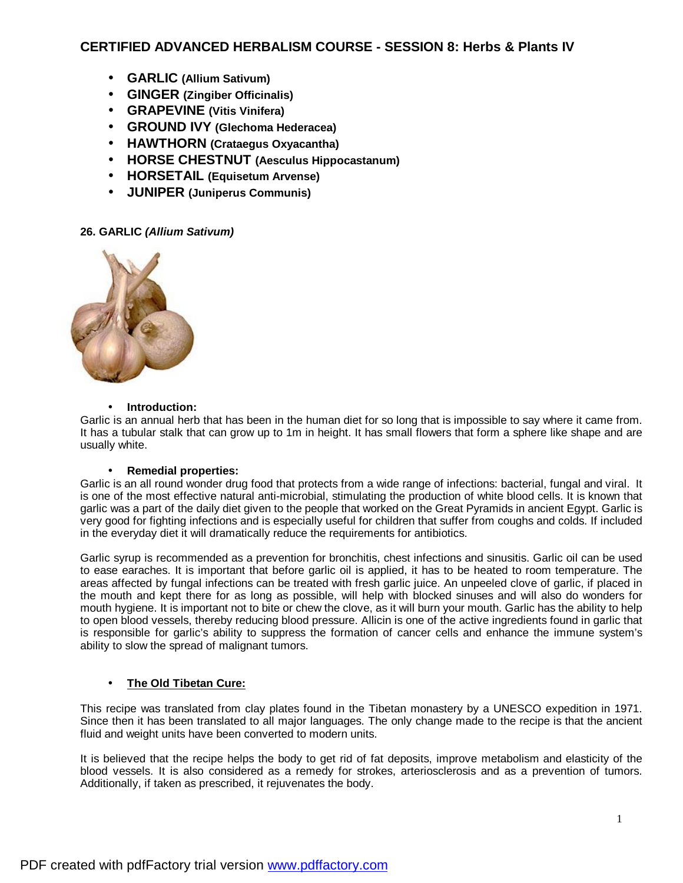# **CERTIFIED ADVANCED HERBALISM COURSE - SESSION 8: Herbs & Plants IV**

- **GARLIC (Allium Sativum)**
- **GINGER (Zingiber Officinalis)**
- **GRAPEVINE (Vitis Vinifera)**
- **GROUND IVY (Glechoma Hederacea)**
- **HAWTHORN (Crataegus Oxyacantha)**
- **HORSE CHESTNUT (Aesculus Hippocastanum)**
- **HORSETAIL (Equisetum Arvense)**
- **JUNIPER (Juniperus Communis)**

# **26. GARLIC** *(Allium Sativum)*



## • **Introduction:**

Garlic is an annual herb that has been in the human diet for so long that is impossible to say where it came from. It has a tubular stalk that can grow up to 1m in height. It has small flowers that form a sphere like shape and are usually white.

## • **Remedial properties:**

Garlic is an all round wonder drug food that protects from a wide range of infections: bacterial, fungal and viral. It is one of the most effective natural anti-microbial, stimulating the production of white blood cells. It is known that garlic was a part of the daily diet given to the people that worked on the Great Pyramids in ancient Egypt. Garlic is very good for fighting infections and is especially useful for children that suffer from coughs and colds. If included in the everyday diet it will dramatically reduce the requirements for antibiotics.

Garlic syrup is recommended as a prevention for bronchitis, chest infections and sinusitis. Garlic oil can be used to ease earaches. It is important that before garlic oil is applied, it has to be heated to room temperature. The areas affected by fungal infections can be treated with fresh garlic juice. An unpeeled clove of garlic, if placed in the mouth and kept there for as long as possible, will help with blocked sinuses and will also do wonders for mouth hygiene. It is important not to bite or chew the clove, as it will burn your mouth. Garlic has the ability to help to open blood vessels, thereby reducing blood pressure. Allicin is one of the active ingredients found in garlic that is responsible for garlic's ability to suppress the formation of cancer cells and enhance the immune system's ability to slow the spread of malignant tumors.

# • **The Old Tibetan Cure:**

This recipe was translated from clay plates found in the Tibetan monastery by a UNESCO expedition in 1971. Since then it has been translated to all major languages. The only change made to the recipe is that the ancient fluid and weight units have been converted to modern units.

It is believed that the recipe helps the body to get rid of fat deposits, improve metabolism and elasticity of the blood vessels. It is also considered as a remedy for strokes, arteriosclerosis and as a prevention of tumors. Additionally, if taken as prescribed, it rejuvenates the body.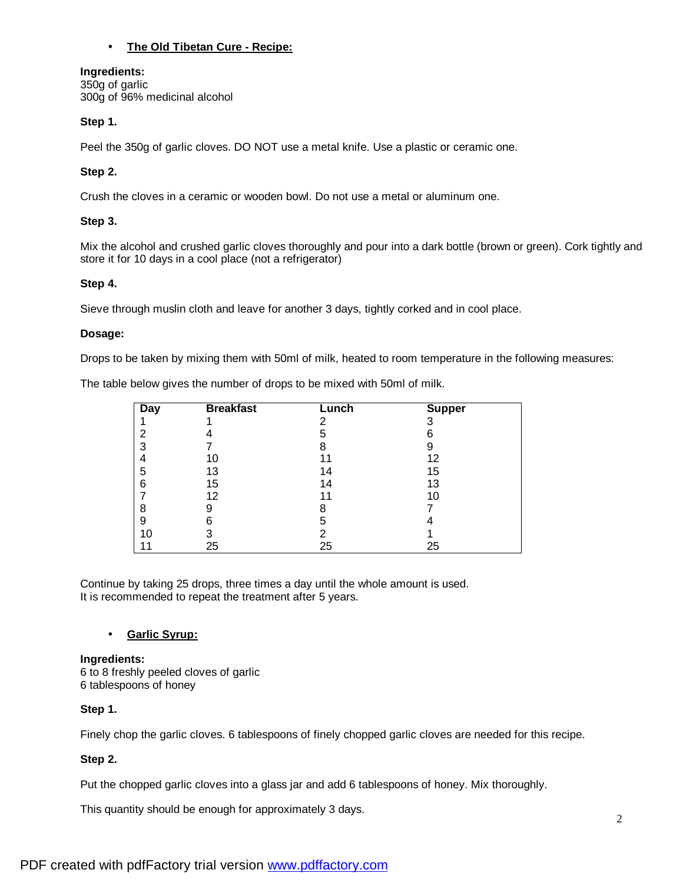## • **The Old Tibetan Cure - Recipe:**

## **Ingredients:**

350g of garlic 300g of 96% medicinal alcohol

## **Step 1.**

Peel the 350g of garlic cloves. DO NOT use a metal knife. Use a plastic or ceramic one.

# **Step 2.**

Crush the cloves in a ceramic or wooden bowl. Do not use a metal or aluminum one.

## **Step 3.**

Mix the alcohol and crushed garlic cloves thoroughly and pour into a dark bottle (brown or green). Cork tightly and store it for 10 days in a cool place (not a refrigerator)

## **Step 4.**

Sieve through muslin cloth and leave for another 3 days, tightly corked and in cool place.

## **Dosage:**

Drops to be taken by mixing them with 50ml of milk, heated to room temperature in the following measures:

The table below gives the number of drops to be mixed with 50ml of milk.

| Day | <b>Breakfast</b> | Lunch | <b>Supper</b> |
|-----|------------------|-------|---------------|
|     |                  | 2     | 3             |
| 2   |                  | 5     |               |
|     |                  | 8     | 9             |
|     | 10               |       | 12            |
| 5   | 13               | 14    | 15            |
| 6   | 15               | 14    | 13            |
|     | 12               | 11    | 10            |
| 8   | 9                | 8     |               |
| 9   | 6                | 5     |               |
| 10  |                  | າ     |               |
|     | 25               | 25    | 25            |

Continue by taking 25 drops, three times a day until the whole amount is used. It is recommended to repeat the treatment after 5 years.

## • **Garlic Syrup:**

**Ingredients:**  6 to 8 freshly peeled cloves of garlic 6 tablespoons of honey

# **Step 1.**

Finely chop the garlic cloves. 6 tablespoons of finely chopped garlic cloves are needed for this recipe.

# **Step 2.**

Put the chopped garlic cloves into a glass jar and add 6 tablespoons of honey. Mix thoroughly.

This quantity should be enough for approximately 3 days.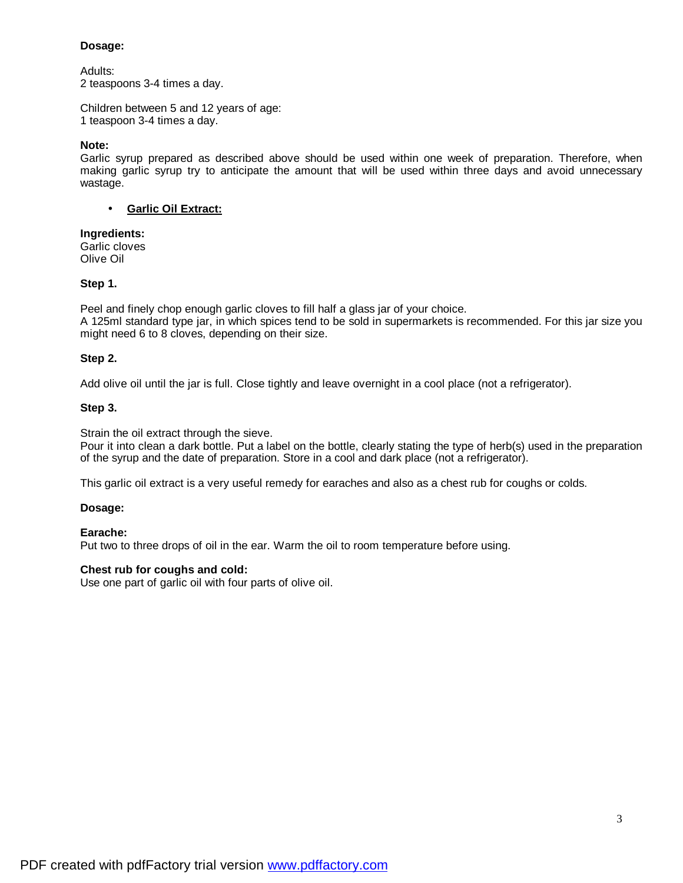## **Dosage:**

Adults: 2 teaspoons 3-4 times a day.

Children between 5 and 12 years of age: 1 teaspoon 3-4 times a day.

## **Note:**

Garlic syrup prepared as described above should be used within one week of preparation. Therefore, when making garlic syrup try to anticipate the amount that will be used within three days and avoid unnecessary wastage.

## • **Garlic Oil Extract:**

# **Ingredients:**

Garlic cloves Olive Oil

## **Step 1.**

Peel and finely chop enough garlic cloves to fill half a glass jar of your choice. A 125ml standard type jar, in which spices tend to be sold in supermarkets is recommended. For this jar size you might need 6 to 8 cloves, depending on their size.

## **Step 2.**

Add olive oil until the jar is full. Close tightly and leave overnight in a cool place (not a refrigerator).

## **Step 3.**

Strain the oil extract through the sieve.

Pour it into clean a dark bottle. Put a label on the bottle, clearly stating the type of herb(s) used in the preparation of the syrup and the date of preparation. Store in a cool and dark place (not a refrigerator).

This garlic oil extract is a very useful remedy for earaches and also as a chest rub for coughs or colds.

## **Dosage:**

## **Earache:**

Put two to three drops of oil in the ear. Warm the oil to room temperature before using.

## **Chest rub for coughs and cold:**

Use one part of garlic oil with four parts of olive oil.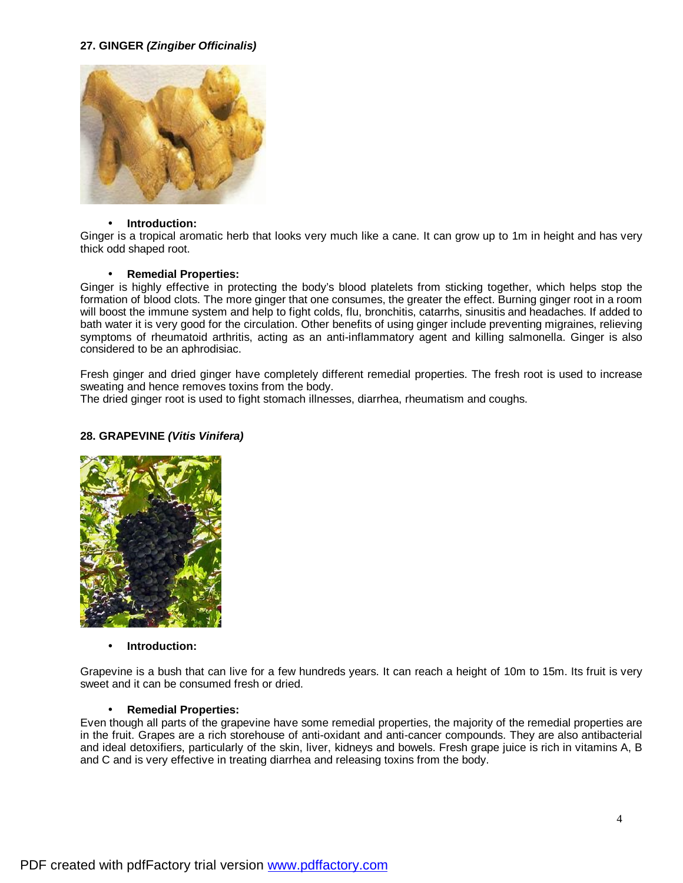## **27. GINGER** *(Zingiber Officinalis)*



#### • **Introduction:**

Ginger is a tropical aromatic herb that looks very much like a cane. It can grow up to 1m in height and has very thick odd shaped root.

#### • **Remedial Properties:**

Ginger is highly effective in protecting the body's blood platelets from sticking together, which helps stop the formation of blood clots. The more ginger that one consumes, the greater the effect. Burning ginger root in a room will boost the immune system and help to fight colds, flu, bronchitis, catarrhs, sinusitis and headaches. If added to bath water it is very good for the circulation. Other benefits of using ginger include preventing migraines, relieving symptoms of rheumatoid arthritis, acting as an anti-inflammatory agent and killing salmonella. Ginger is also considered to be an aphrodisiac.

Fresh ginger and dried ginger have completely different remedial properties. The fresh root is used to increase sweating and hence removes toxins from the body.

The dried ginger root is used to fight stomach illnesses, diarrhea, rheumatism and coughs.

### **28. GRAPEVINE** *(Vitis Vinifera)*



#### • **Introduction:**

Grapevine is a bush that can live for a few hundreds years. It can reach a height of 10m to 15m. Its fruit is very sweet and it can be consumed fresh or dried.

## • **Remedial Properties:**

Even though all parts of the grapevine have some remedial properties, the majority of the remedial properties are in the fruit. Grapes are a rich storehouse of anti-oxidant and anti-cancer compounds. They are also antibacterial and ideal detoxifiers, particularly of the skin, liver, kidneys and bowels. Fresh grape juice is rich in vitamins A, B and C and is very effective in treating diarrhea and releasing toxins from the body.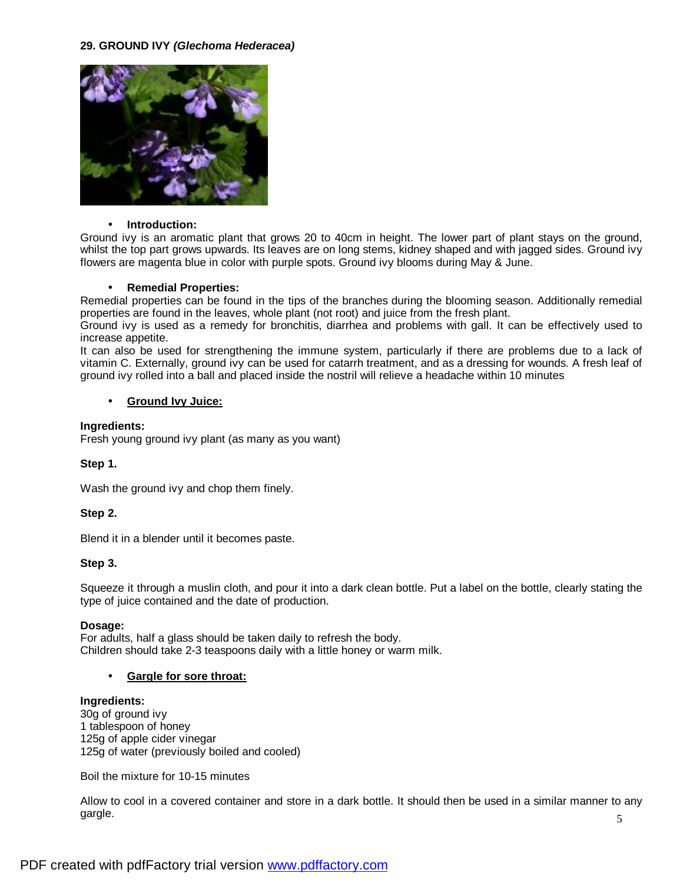## **29. GROUND IVY** *(Glechoma Hederacea)*



#### • **Introduction:**

Ground ivy is an aromatic plant that grows 20 to 40cm in height. The lower part of plant stays on the ground, whilst the top part grows upwards. Its leaves are on long stems, kidney shaped and with jagged sides. Ground ivy flowers are magenta blue in color with purple spots. Ground ivy blooms during May & June.

## • **Remedial Properties:**

Remedial properties can be found in the tips of the branches during the blooming season. Additionally remedial properties are found in the leaves, whole plant (not root) and juice from the fresh plant.

Ground ivy is used as a remedy for bronchitis, diarrhea and problems with gall. It can be effectively used to increase appetite.

It can also be used for strengthening the immune system, particularly if there are problems due to a lack of vitamin C. Externally, ground ivy can be used for catarrh treatment, and as a dressing for wounds. A fresh leaf of ground ivy rolled into a ball and placed inside the nostril will relieve a headache within 10 minutes

## • **Ground Ivy Juice:**

#### **Ingredients:**

Fresh young ground ivy plant (as many as you want)

## **Step 1.**

Wash the ground ivy and chop them finely.

## **Step 2.**

Blend it in a blender until it becomes paste.

## **Step 3.**

Squeeze it through a muslin cloth, and pour it into a dark clean bottle. Put a label on the bottle, clearly stating the type of juice contained and the date of production.

## **Dosage:**

For adults, half a glass should be taken daily to refresh the body. Children should take 2-3 teaspoons daily with a little honey or warm milk.

## • **Gargle for sore throat:**

#### **Ingredients:**

30g of ground ivy 1 tablespoon of honey 125g of apple cider vinegar 125g of water (previously boiled and cooled)

Boil the mixture for 10-15 minutes

Allow to cool in a covered container and store in a dark bottle. It should then be used in a similar manner to any gargle.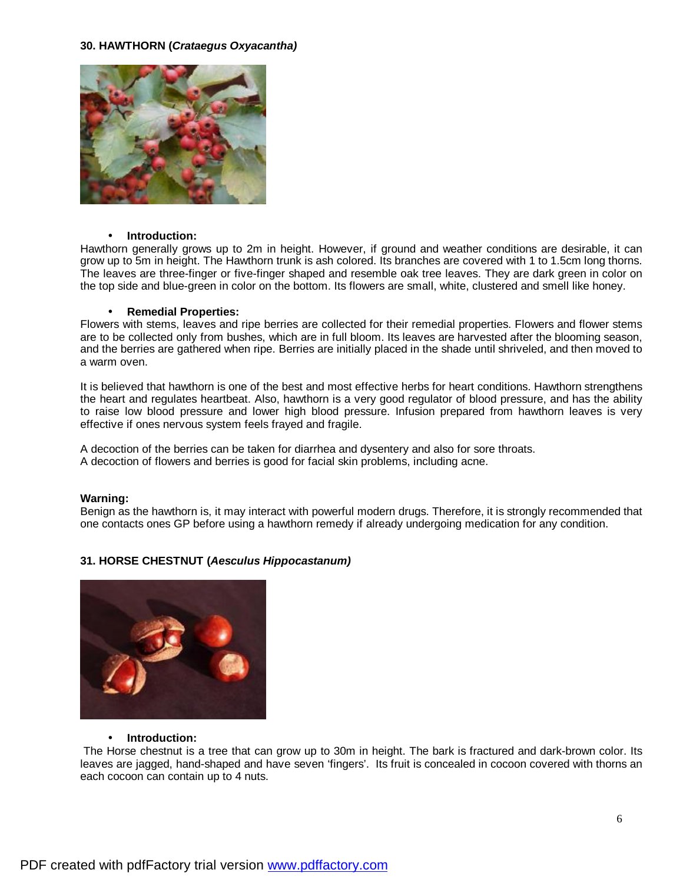## **30. HAWTHORN (***Crataegus Oxyacantha)*



#### • **Introduction:**

Hawthorn generally grows up to 2m in height. However, if ground and weather conditions are desirable, it can grow up to 5m in height. The Hawthorn trunk is ash colored. Its branches are covered with 1 to 1.5cm long thorns. The leaves are three-finger or five-finger shaped and resemble oak tree leaves. They are dark green in color on the top side and blue-green in color on the bottom. Its flowers are small, white, clustered and smell like honey.

#### • **Remedial Properties:**

Flowers with stems, leaves and ripe berries are collected for their remedial properties. Flowers and flower stems are to be collected only from bushes, which are in full bloom. Its leaves are harvested after the blooming season, and the berries are gathered when ripe. Berries are initially placed in the shade until shriveled, and then moved to a warm oven.

It is believed that hawthorn is one of the best and most effective herbs for heart conditions. Hawthorn strengthens the heart and regulates heartbeat. Also, hawthorn is a very good regulator of blood pressure, and has the ability to raise low blood pressure and lower high blood pressure. Infusion prepared from hawthorn leaves is very effective if ones nervous system feels frayed and fragile.

A decoction of the berries can be taken for diarrhea and dysentery and also for sore throats. A decoction of flowers and berries is good for facial skin problems, including acne.

#### **Warning:**

Benign as the hawthorn is, it may interact with powerful modern drugs. Therefore, it is strongly recommended that one contacts ones GP before using a hawthorn remedy if already undergoing medication for any condition.

# **31. HORSE CHESTNUT (***Aesculus Hippocastanum)*



#### • **Introduction:**

 The Horse chestnut is a tree that can grow up to 30m in height. The bark is fractured and dark-brown color. Its leaves are jagged, hand-shaped and have seven 'fingers'. Its fruit is concealed in cocoon covered with thorns an each cocoon can contain up to 4 nuts.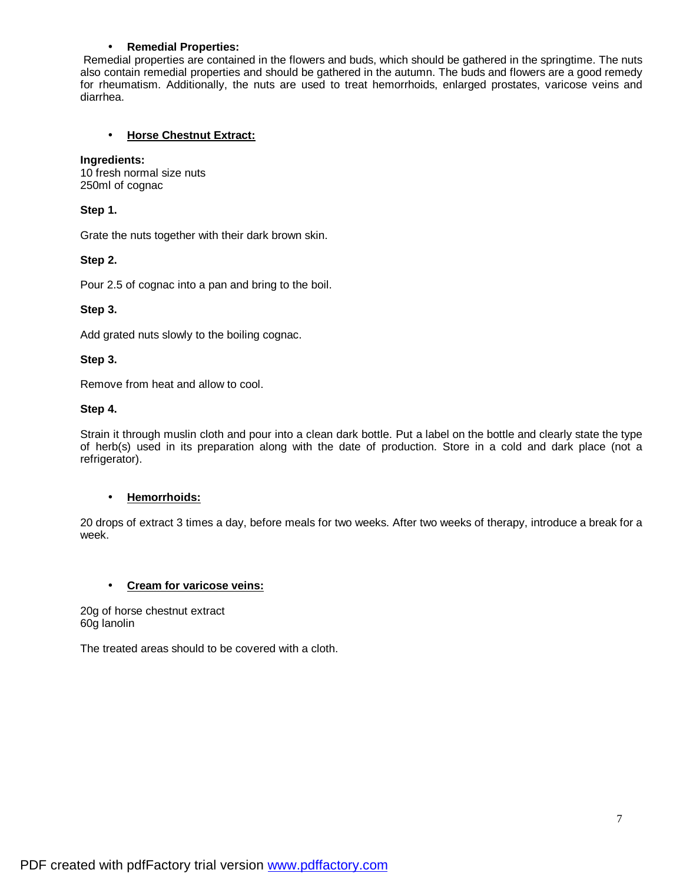## • **Remedial Properties:**

Remedial properties are contained in the flowers and buds, which should be gathered in the springtime. The nuts also contain remedial properties and should be gathered in the autumn. The buds and flowers are a good remedy for rheumatism. Additionally, the nuts are used to treat hemorrhoids, enlarged prostates, varicose veins and diarrhea.

## • **Horse Chestnut Extract:**

## **Ingredients:**

10 fresh normal size nuts 250ml of cognac

## **Step 1.**

Grate the nuts together with their dark brown skin.

## **Step 2.**

Pour 2.5 of cognac into a pan and bring to the boil.

## **Step 3.**

Add grated nuts slowly to the boiling cognac.

## **Step 3.**

Remove from heat and allow to cool.

## **Step 4.**

Strain it through muslin cloth and pour into a clean dark bottle. Put a label on the bottle and clearly state the type of herb(s) used in its preparation along with the date of production. Store in a cold and dark place (not a refrigerator).

## • **Hemorrhoids:**

20 drops of extract 3 times a day, before meals for two weeks. After two weeks of therapy, introduce a break for a week.

## • **Cream for varicose veins:**

20g of horse chestnut extract 60g lanolin

The treated areas should to be covered with a cloth.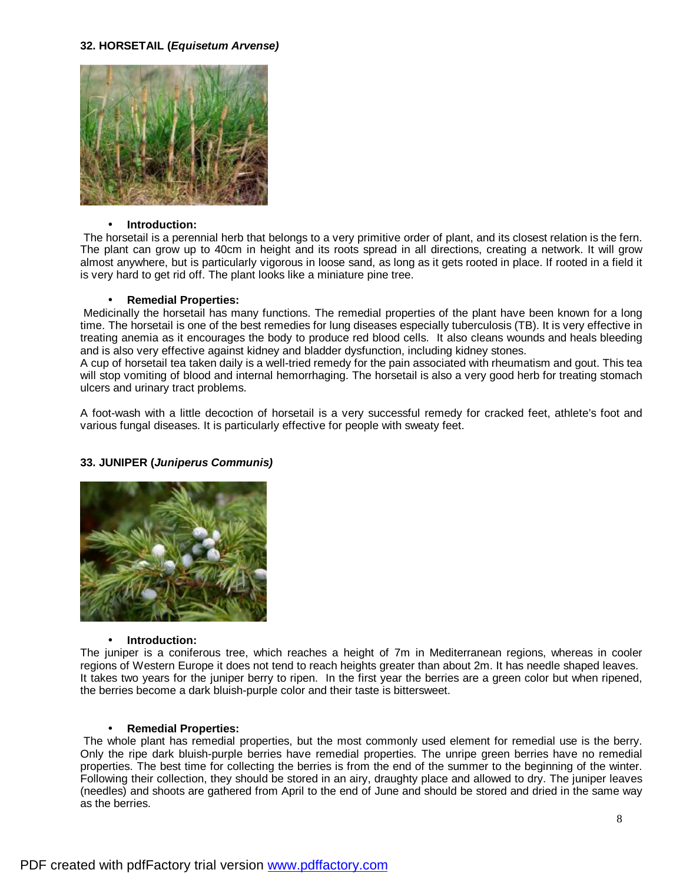## **32. HORSETAIL (***Equisetum Arvense)*



#### • **Introduction:**

 The horsetail is a perennial herb that belongs to a very primitive order of plant, and its closest relation is the fern. The plant can grow up to 40cm in height and its roots spread in all directions, creating a network. It will grow almost anywhere, but is particularly vigorous in loose sand, as long as it gets rooted in place. If rooted in a field it is very hard to get rid off. The plant looks like a miniature pine tree.

#### • **Remedial Properties:**

Medicinally the horsetail has many functions. The remedial properties of the plant have been known for a long time. The horsetail is one of the best remedies for lung diseases especially tuberculosis (TB). It is very effective in treating anemia as it encourages the body to produce red blood cells. It also cleans wounds and heals bleeding and is also very effective against kidney and bladder dysfunction, including kidney stones.

A cup of horsetail tea taken daily is a well-tried remedy for the pain associated with rheumatism and gout. This tea will stop vomiting of blood and internal hemorrhaging. The horsetail is also a very good herb for treating stomach ulcers and urinary tract problems.

A foot-wash with a little decoction of horsetail is a very successful remedy for cracked feet, athlete's foot and various fungal diseases. It is particularly effective for people with sweaty feet.

## **33. JUNIPER (***Juniperus Communis)*



#### • **Introduction:**

The juniper is a coniferous tree, which reaches a height of 7m in Mediterranean regions, whereas in cooler regions of Western Europe it does not tend to reach heights greater than about 2m. It has needle shaped leaves. It takes two years for the juniper berry to ripen. In the first year the berries are a green color but when ripened, the berries become a dark bluish-purple color and their taste is bittersweet.

#### • **Remedial Properties:**

 The whole plant has remedial properties, but the most commonly used element for remedial use is the berry. Only the ripe dark bluish-purple berries have remedial properties. The unripe green berries have no remedial properties. The best time for collecting the berries is from the end of the summer to the beginning of the winter. Following their collection, they should be stored in an airy, draughty place and allowed to dry. The juniper leaves (needles) and shoots are gathered from April to the end of June and should be stored and dried in the same way as the berries.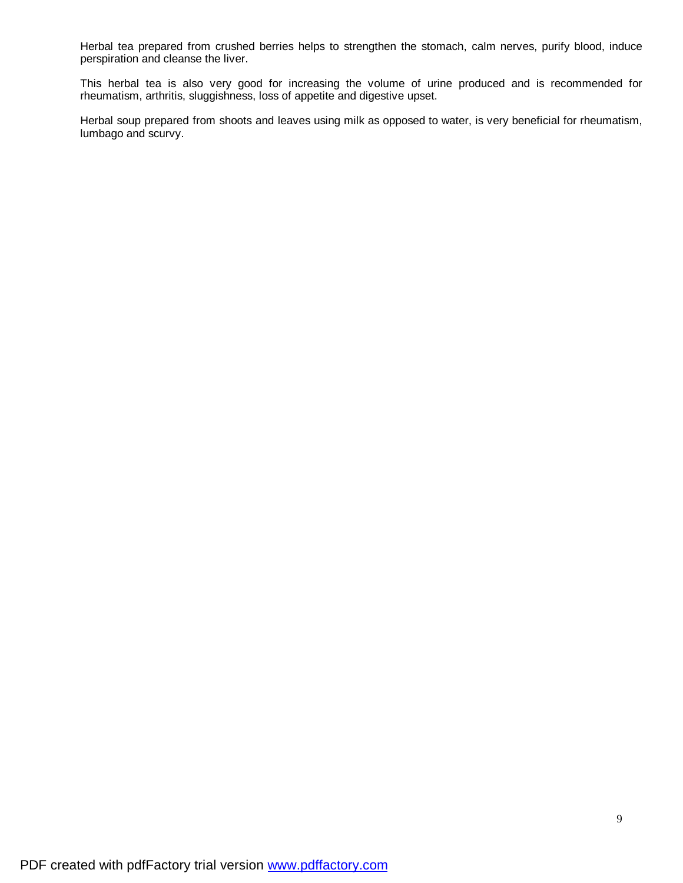Herbal tea prepared from crushed berries helps to strengthen the stomach, calm nerves, purify blood, induce perspiration and cleanse the liver.

This herbal tea is also very good for increasing the volume of urine produced and is recommended for rheumatism, arthritis, sluggishness, loss of appetite and digestive upset.

Herbal soup prepared from shoots and leaves using milk as opposed to water, is very beneficial for rheumatism, lumbago and scurvy.